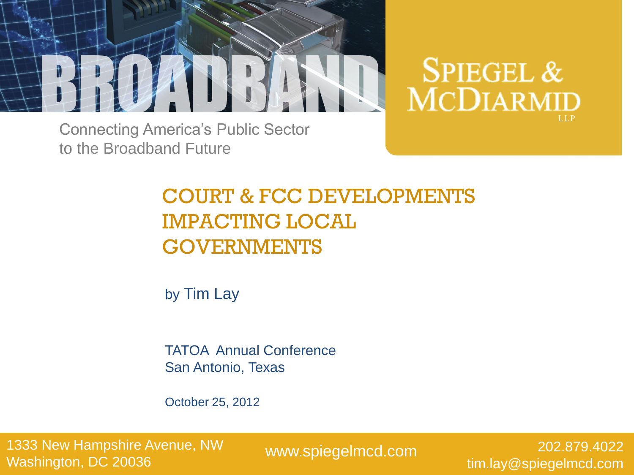

**SPIEGEL & MCDIARMID** 

Connecting America's Public Sector to the Broadband Future

### COURT & FCC DEVELOPMENTS IMPACTING LOCAL GOVERNMENTS

by Tim Lay

TATOA Annual Conference San Antonio, Texas

October 25, 2012

1333 New Hampshire Avenue, NW Washington, DC 20036

www.spiegelmcd.com

202.879.4022 tim.lay@spiegelmcd.com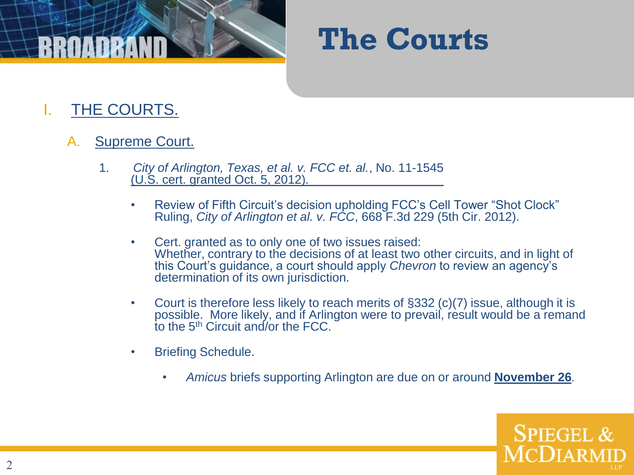

#### I. THE COURTS.

#### A. Supreme Court.

- 1. *City of Arlington, Texas, et al. v. FCC et. al.*, No. 11-1545 (U.S. cert. granted Oct. 5, 2012).
	- Review of Fifth Circuit's decision upholding FCC's Cell Tower "Shot Clock" Ruling, *City of Arlington et al. v. FCC*, 668 F.3d 229 (5th Cir. 2012).
	- Cert. granted as to only one of two issues raised: Whether, contrary to the decisions of at least two other circuits, and in light of this Court's guidance, a court should apply *Chevron* to review an agency's determination of its own jurisdiction.
	- Court is therefore less likely to reach merits of §332 (c)(7) issue, although it is possible. More likely, and if Arlington were to prevail, result would be a remand to the 5th Circuit and/or the FCC.
	- Briefing Schedule.
		- *Amicus* briefs supporting Arlington are due on or around **November 26***.*

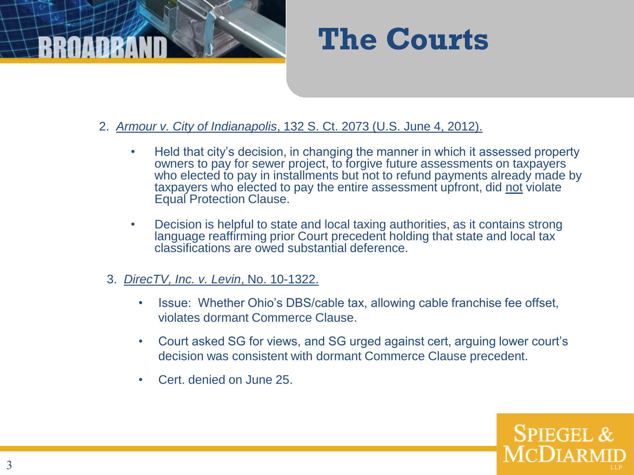



- 2. *Armour v. City of Indianapolis*, 132 S. Ct. 2073 (U.S. June 4, 2012).
	- Held that city's decision, in changing the manner in which it assessed property owners to pay for sewer project, to forgive future assessments on taxpayers who elected to pay in installments but not to refund payments already made by taxpayers who elected to pay the entire assessment upfront, did not violate Equal Protection Clause.
	- Decision is helpful to state and local taxing authorities, as it contains strong language reaffirming prior Court precedent holding that state and local tax classifications are owed substantial deference.
	- 3. *DirecTV, Inc. v. Levin*, No. 10-1322.
		- Issue: Whether Ohio's DBS/cable tax, allowing cable franchise fee offset, violates dormant Commerce Clause.
		- Court asked SG for views, and SG urged against cert, arguing lower court's decision was consistent with dormant Commerce Clause precedent.
		- Cert. denied on June 25.

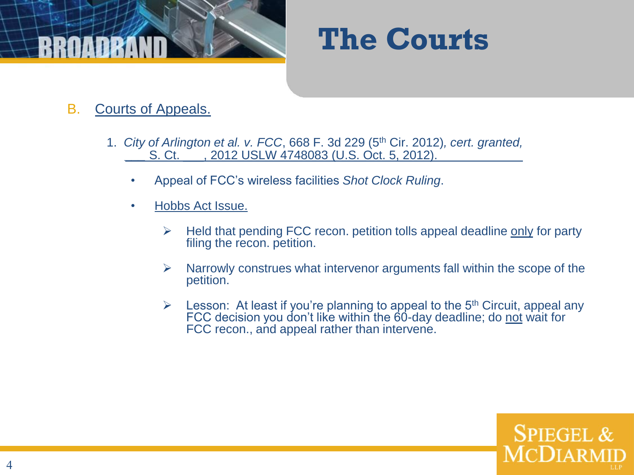

- B. Courts of Appeals.
	- 1. *City of Arlington et al. v. FCC*, 668 F. 3d 229 (5th Cir. 2012)*, cert. granted, \_\_\_* S. Ct. \_\_\_, 2012 USLW 4748083 (U.S. Oct. 5, 2012).
		- Appeal of FCC's wireless facilities *Shot Clock Ruling*.
		- Hobbs Act Issue.
			- $\triangleright$  Held that pending FCC recon. petition tolls appeal deadline only for party filing the recon. petition.
			- $\triangleright$  Narrowly construes what intervenor arguments fall within the scope of the petition.
			- E Lesson: At least if you're planning to appeal to the  $5<sup>th</sup>$  Circuit, appeal any FCC decision you don't like within the 60-day deadline; do not wait for FCC recon., and appeal rather than intervene.

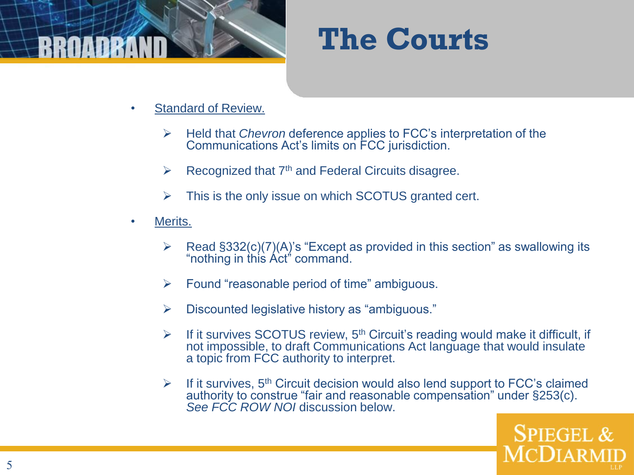

- Standard of Review.
	- Held that *Chevron* deference applies to FCC's interpretation of the Communications Act's limits on FCC jurisdiction.
	- $\triangleright$  Recognized that 7<sup>th</sup> and Federal Circuits disagree.
	- $\triangleright$  This is the only issue on which SCOTUS granted cert.
- Merits.
	- $\triangleright$  Read §332(c)(7)(A)'s "Except as provided in this section" as swallowing its "nothing in this Act" command.
	- $\triangleright$  Found "reasonable period of time" ambiguous.
	- $\triangleright$  Discounted legislative history as "ambiguous."
	- $\triangleright$  If it survives SCOTUS review, 5<sup>th</sup> Circuit's reading would make it difficult, if not impossible, to draft Communications Act language that would insulate a topic from FCC authority to interpret.
	- $\triangleright$  If it survives, 5<sup>th</sup> Circuit decision would also lend support to FCC's claimed authority to construe "fair and reasonable compensation" under §253(c). *See FCC ROW NOI* discussion below.

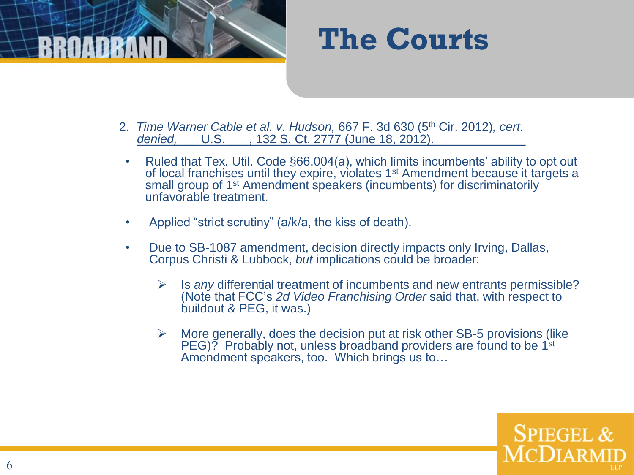

- 2. *Time Warner Cable et al. v. Hudson,* 667 F. 3d 630 (5th Cir. 2012)*, cert. denied,*\_\_\_ U.S. \_\_\_, 132 S. Ct. 2777 (June 18, 2012).
- Ruled that Tex. Util. Code §66.004(a), which limits incumbents' ability to opt out of local franchises until they expire, violates 1<sup>st</sup> Amendment because it targets a small group of 1<sup>st</sup> Amendment speakers (incumbents) for discriminatorily unfavorable treatment.
- Applied "strict scrutiny" (a/k/a, the kiss of death).
- Due to SB-1087 amendment, decision directly impacts only Irving, Dallas, Corpus Christi & Lubbock, *but* implications could be broader:
	- Is *any* differential treatment of incumbents and new entrants permissible? (Note that FCC's *2d Video Franchising Order* said that, with respect to buildout & PEG, it was.)
	- $\triangleright$  More generally, does the decision put at risk other SB-5 provisions (like PEG)? Probably not, unless broadband providers are found to be 1<sup>st</sup> Amendment speakers, too. Which brings us to…

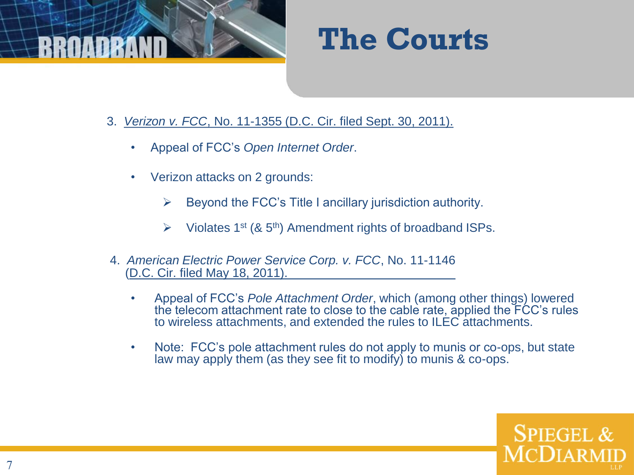

- 3. *Verizon v. FCC*, No. 11-1355 (D.C. Cir. filed Sept. 30, 2011).
	- Appeal of FCC's *Open Internet Order*.
	- Verizon attacks on 2 grounds:
		- $\triangleright$  Beyond the FCC's Title I ancillary jurisdiction authority.
		- $\triangleright$  Violates 1<sup>st</sup> (& 5<sup>th</sup>) Amendment rights of broadband ISPs.
- 4. *American Electric Power Service Corp. v. FCC*, No. 11-1146 (D.C. Cir. filed May 18, 2011).
	- Appeal of FCC's *Pole Attachment Order*, which (among other things) lowered the telecom attachment rate to close to the cable rate, applied the FCC's rules to wireless attachments, and extended the rules to ILEC attachments.
	- Note: FCC's pole attachment rules do not apply to munis or co-ops, but state law may apply them (as they see fit to modify) to munis & co-ops.

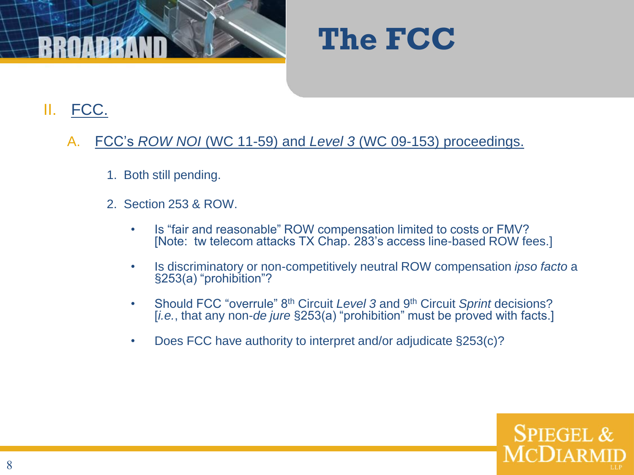



#### II. FCC.

- A. FCC's *ROW NOI* (WC 11-59) and *Level 3* (WC 09-153) proceedings.
	- 1. Both still pending.
	- 2. Section 253 & ROW.
		- Is "fair and reasonable" ROW compensation limited to costs or FMV? [Note: tw telecom attacks TX Chap. 283's access line-based ROW fees.]
		- Is discriminatory or non-competitively neutral ROW compensation *ipso facto* a §253(a) "prohibition"?
		- Should FCC "overrule" 8th Circuit *Level 3* and 9th Circuit *Sprint* decisions? [*i.e.*, that any non-*de jure* §253(a) "prohibition" must be proved with facts.]
		- Does FCC have authority to interpret and/or adjudicate §253(c)?

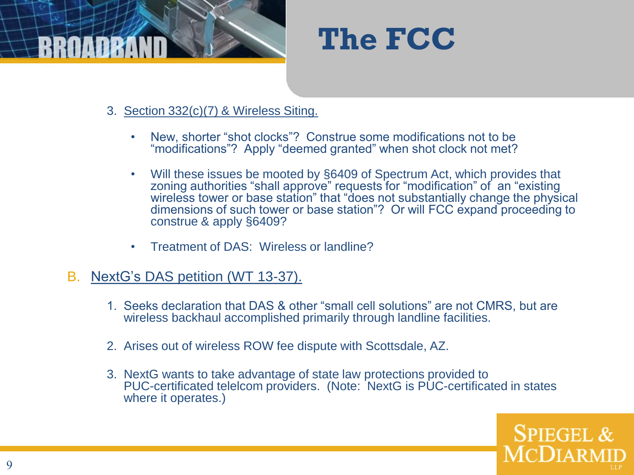



- 3. Section 332(c)(7) & Wireless Siting.
	- New, shorter "shot clocks"? Construe some modifications not to be "modifications"? Apply "deemed granted" when shot clock not met?
	- Will these issues be mooted by §6409 of Spectrum Act, which provides that zoning authorities "shall approve" requests for "modification" of an "existing wireless tower or base station" that "does not substantially change the physical dimensions of such tower or base station"? Or will FCC expand proceeding to construe & apply §6409?
	- Treatment of DAS: Wireless or landline?
- B. NextG's DAS petition (WT 13-37).
	- 1. Seeks declaration that DAS & other "small cell solutions" are not CMRS, but are wireless backhaul accomplished primarily through landline facilities.
	- 2. Arises out of wireless ROW fee dispute with Scottsdale, AZ.
	- 3. NextG wants to take advantage of state law protections provided to PUC-certificated telelcom providers. (Note: NextG is PUC-certificated in states where it operates.)

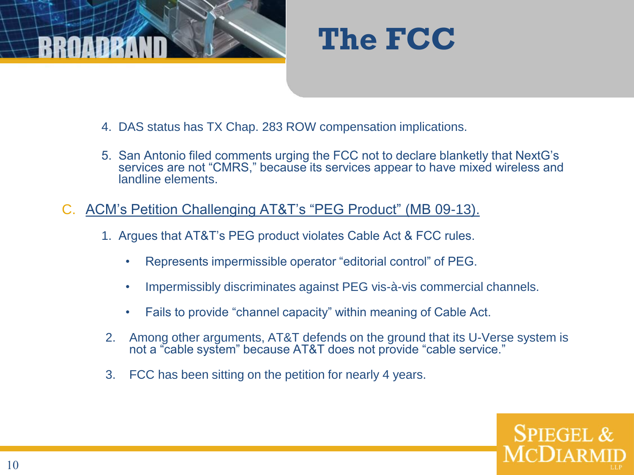



- 4. DAS status has TX Chap. 283 ROW compensation implications.
- 5. San Antonio filed comments urging the FCC not to declare blanketly that NextG's services are not "CMRS," because its services appear to have mixed wireless and landline elements.
- C. ACM's Petition Challenging AT&T's "PEG Product" (MB 09-13).
	- 1. Argues that AT&T's PEG product violates Cable Act & FCC rules.
		- Represents impermissible operator "editorial control" of PEG.
		- Impermissibly discriminates against PEG vis-à-vis commercial channels.
		- Fails to provide "channel capacity" within meaning of Cable Act.
	- 2. Among other arguments, AT&T defends on the ground that its U-Verse system is not a "cable system" because AT&T does not provide "cable service."
	- 3. FCC has been sitting on the petition for nearly 4 years.

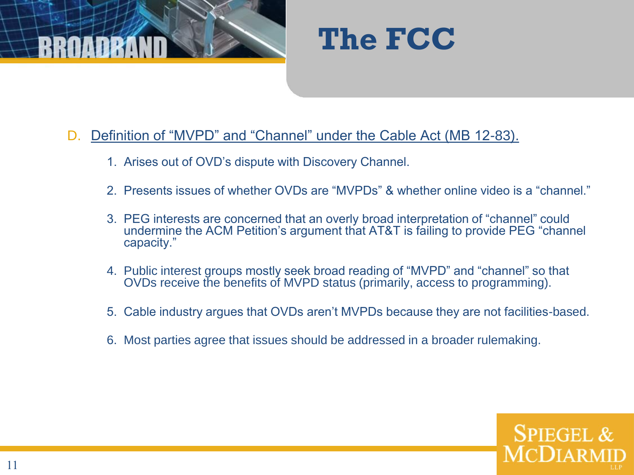



#### D. Definition of "MVPD" and "Channel" under the Cable Act (MB 12-83).

- 1. Arises out of OVD's dispute with Discovery Channel.
- 2. Presents issues of whether OVDs are "MVPDs" & whether online video is a "channel."
- 3. PEG interests are concerned that an overly broad interpretation of "channel" could undermine the ACM Petition's argument that AT&T is failing to provide PEG "channel capacity."
- 4. Public interest groups mostly seek broad reading of "MVPD" and "channel" so that OVDs receive the benefits of MVPD status (primarily, access to programming).
- 5. Cable industry argues that OVDs aren't MVPDs because they are not facilities-based.
- 6. Most parties agree that issues should be addressed in a broader rulemaking.

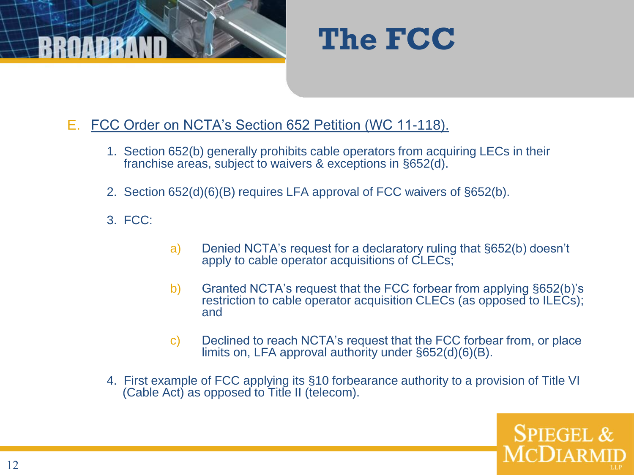



- E. FCC Order on NCTA's Section 652 Petition (WC 11-118).
	- 1. Section 652(b) generally prohibits cable operators from acquiring LECs in their franchise areas, subject to waivers & exceptions in §652(d).
	- 2. Section 652(d)(6)(B) requires LFA approval of FCC waivers of §652(b).
	- 3. FCC:
- a) Denied NCTA's request for a declaratory ruling that §652(b) doesn't apply to cable operator acquisitions of CLECs;
- b) Granted NCTA's request that the FCC forbear from applying §652(b)'s restriction to cable operator acquisition CLECs (as opposed to ILECs); and
- c) Declined to reach NCTA's request that the FCC forbear from, or place limits on, LFA approval authority under §652(d)(6)(B).
- 4. First example of FCC applying its §10 forbearance authority to a provision of Title VI (Cable Act) as opposed to Title II (telecom).

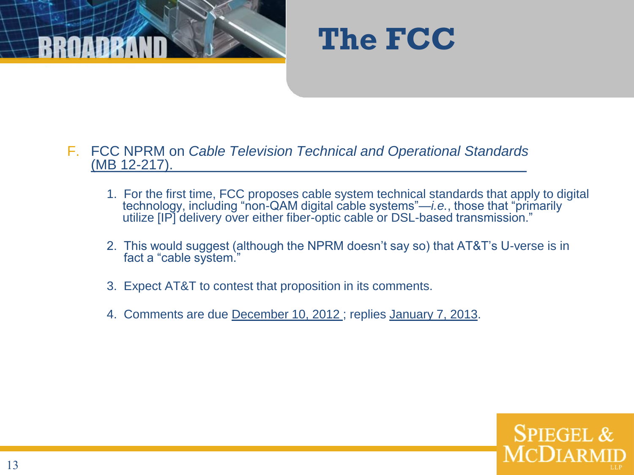



- F. FCC NPRM on *Cable Television Technical and Operational Standards* (MB 12-217).
	- 1. For the first time, FCC proposes cable system technical standards that apply to digital technology, including "non-QAM digital cable systems"—*i.e.*, those that "primarily utilize [IP] delivery over either fiber-optic cable or DSL-based transmission."
	- 2. This would suggest (although the NPRM doesn't say so) that AT&T's U-verse is in fact a "cable system."
	- 3. Expect AT&T to contest that proposition in its comments.
	- 4. Comments are due December 10, 2012 ; replies January 7, 2013.